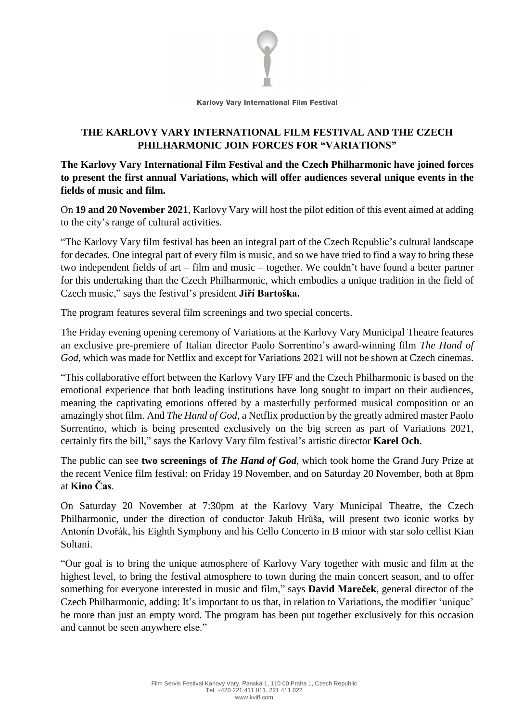

## **THE KARLOVY VARY INTERNATIONAL FILM FESTIVAL AND THE CZECH PHILHARMONIC JOIN FORCES FOR "VARIATIONS"**

**The Karlovy Vary International Film Festival and the Czech Philharmonic have joined forces to present the first annual Variations, which will offer audiences several unique events in the fields of music and film.**

On **19 and 20 November 2021**, Karlovy Vary will host the pilot edition of this event aimed at adding to the city's range of cultural activities.

"The Karlovy Vary film festival has been an integral part of the Czech Republic's cultural landscape for decades. One integral part of every film is music, and so we have tried to find a way to bring these two independent fields of art – film and music – together. We couldn't have found a better partner for this undertaking than the Czech Philharmonic, which embodies a unique tradition in the field of Czech music," says the festival's president **Jiří Bartoška.**

The program features several film screenings and two special concerts.

The Friday evening opening ceremony of Variations at the Karlovy Vary Municipal Theatre features an exclusive pre-premiere of Italian director Paolo Sorrentino's award-winning film *The Hand of God*, which was made for Netflix and except for Variations 2021 will not be shown at Czech cinemas.

"This collaborative effort between the Karlovy Vary IFF and the Czech Philharmonic is based on the emotional experience that both leading institutions have long sought to impart on their audiences, meaning the captivating emotions offered by a masterfully performed musical composition or an amazingly shot film. And *The Hand of God*, a Netflix production by the greatly admired master Paolo Sorrentino, which is being presented exclusively on the big screen as part of Variations 2021, certainly fits the bill," says the Karlovy Vary film festival's artistic director **Karel Och**.

The public can see **two screenings of** *The Hand of God*, which took home the Grand Jury Prize at the recent Venice film festival: on Friday 19 November, and on Saturday 20 November, both at 8pm at **Kino Čas**.

On Saturday 20 November at 7:30pm at the Karlovy Vary Municipal Theatre, the Czech Philharmonic, under the direction of conductor Jakub Hrůša, will present two iconic works by Antonín Dvořák, his Eighth Symphony and his Cello Concerto in B minor with star solo cellist Kian Soltani.

"Our goal is to bring the unique atmosphere of Karlovy Vary together with music and film at the highest level, to bring the festival atmosphere to town during the main concert season, and to offer something for everyone interested in music and film," says **David Mareček**, general director of the Czech Philharmonic, adding: It's important to us that, in relation to Variations, the modifier 'unique' be more than just an empty word. The program has been put together exclusively for this occasion and cannot be seen anywhere else."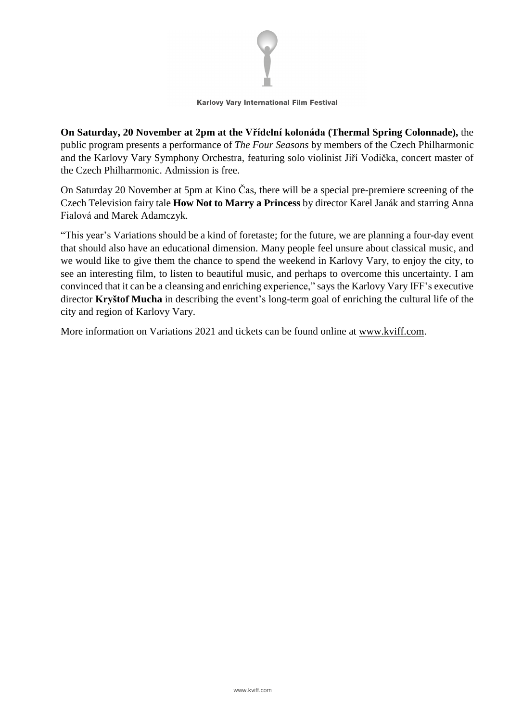

## Karlovy Vary International Film Festival

**On Saturday, 20 November at 2pm at the Vřídelní kolonáda (Thermal Spring Colonnade),** the public program presents a performance of *The Four Seasons* by members of the Czech Philharmonic and the Karlovy Vary Symphony Orchestra, featuring solo violinist Jiří Vodička, concert master of the Czech Philharmonic. Admission is free.

On Saturday 20 November at 5pm at Kino Čas, there will be a special pre-premiere screening of the Czech Television fairy tale **How Not to Marry a Princess** by director Karel Janák and starring Anna Fialová and Marek Adamczyk.

"This year's Variations should be a kind of foretaste; for the future, we are planning a four-day event that should also have an educational dimension. Many people feel unsure about classical music, and we would like to give them the chance to spend the weekend in Karlovy Vary, to enjoy the city, to see an interesting film, to listen to beautiful music, and perhaps to overcome this uncertainty. I am convinced that it can be a cleansing and enriching experience," says the Karlovy Vary IFF's executive director **Kryštof Mucha** in describing the event's long-term goal of enriching the cultural life of the city and region of Karlovy Vary.

More information on Variations 2021 and tickets can be found online at [www.kviff.com.](http://www.kviff.com/variace)